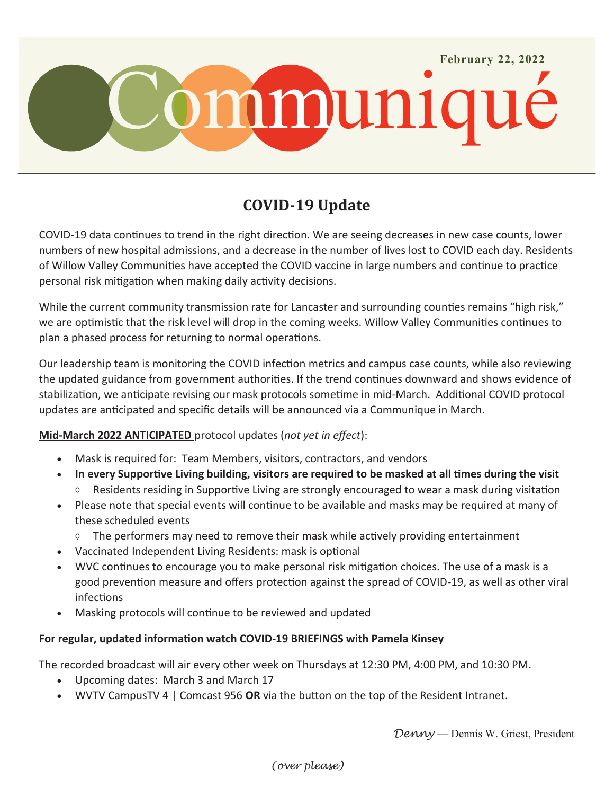

# **COVID-19 Update**

COVID-19 data continues to trend in the right direction. We are seeing decreases in new case counts, lower numbers of new hospital admissions, and a decrease in the number of lives lost to COVID each day. Residents of Willow Valley Communities have accepted the COVID vaccine in large numbers and continue to practice personal risk mitigation when making daily activity decisions.

While the current community transmission rate for Lancaster and surrounding counties remains "high risk," we are optimistic that the risk level will drop in the coming weeks. Willow Valley Communities continues to plan a phased process for returning to normal operations.

Our leadership team is monitoring the COVID infection metrics and campus case counts, while also reviewing the updated guidance from government authorities. If the trend continues downward and shows evidence of stabilization, we anticipate revising our mask protocols sometime in mid-March. Additional COVID protocol updates are anticipated and specific details will be announced via a Communique in March.

## **Mid-March 2022 ANTICIPATED** protocol updates (*not yet in effect*):

- Mask is required for: Team Members, visitors, contractors, and vendors
- **In every Supportive Living building, visitors are required to be masked at all times during the visit**
	- Residents residing in Supportive Living are strongly encouraged to wear a mask during visitation
- Please note that special events will continue to be available and masks may be required at many of these scheduled events
	- $\Diamond$  The performers may need to remove their mask while actively providing entertainment
- Vaccinated Independent Living Residents: mask is optional
- WVC continues to encourage you to make personal risk mitigation choices. The use of a mask is a good prevention measure and offers protection against the spread of COVID-19, as well as other viral infections
- Masking protocols will continue to be reviewed and updated

### **For regular, updated information watch COVID-19 BRIEFINGS with Pamela Kinsey**

The recorded broadcast will air every other week on Thursdays at 12:30 PM, 4:00 PM, and 10:30 PM.

- Upcoming dates: March 3 and March 17
- WVTV CampusTV 4 | Comcast 956 **OR** via the button on the top of the Resident Intranet.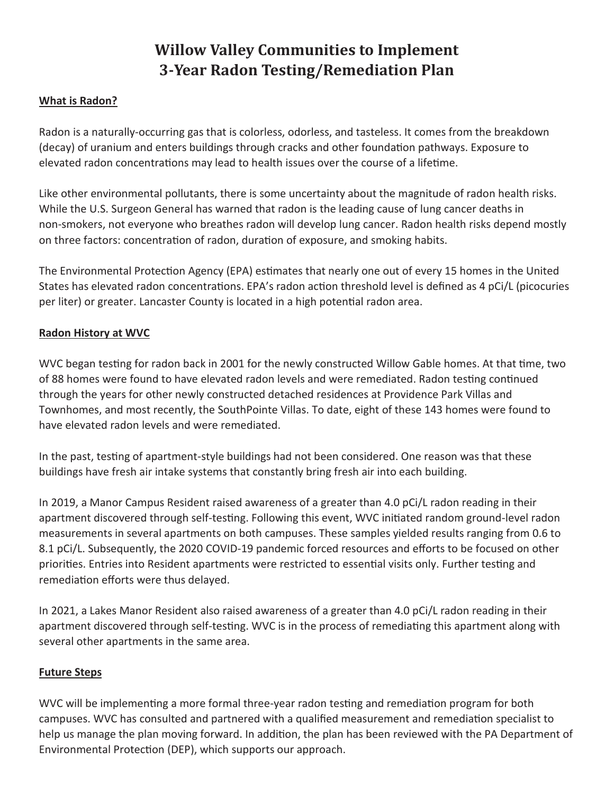# **Willow Valley Communities to Implement 3-Year Radon Testing/Remediation Plan**

### **What is Radon?**

Radon is a naturally-occurring gas that is colorless, odorless, and tasteless. It comes from the breakdown (decay) of uranium and enters buildings through cracks and other foundation pathways. Exposure to elevated radon concentrations may lead to health issues over the course of a lifetime.

Like other environmental pollutants, there is some uncertainty about the magnitude of radon health risks. While the U.S. Surgeon General has warned that radon is the leading cause of lung cancer deaths in non-smokers, not everyone who breathes radon will develop lung cancer. Radon health risks depend mostly on three factors: concentration of radon, duration of exposure, and smoking habits.

The Environmental Protection Agency (EPA) estimates that nearly one out of every 15 homes in the United States has elevated radon concentrations. EPA's radon action threshold level is defined as 4 pCi/L (picocuries per liter) or greater. Lancaster County is located in a high potential radon area.

### **Radon History at WVC**

WVC began testing for radon back in 2001 for the newly constructed Willow Gable homes. At that time, two of 88 homes were found to have elevated radon levels and were remediated. Radon testing continued through the years for other newly constructed detached residences at Providence Park Villas and Townhomes, and most recently, the SouthPointe Villas. To date, eight of these 143 homes were found to have elevated radon levels and were remediated.

In the past, testing of apartment-style buildings had not been considered. One reason was that these buildings have fresh air intake systems that constantly bring fresh air into each building.

In 2019, a Manor Campus Resident raised awareness of a greater than 4.0 pCi/L radon reading in their apartment discovered through self-testing. Following this event, WVC initiated random ground-level radon measurements in several apartments on both campuses. These samples yielded results ranging from 0.6 to 8.1 pCi/L. Subsequently, the 2020 COVID-19 pandemic forced resources and efforts to be focused on other priorities. Entries into Resident apartments were restricted to essential visits only. Further testing and remediation efforts were thus delayed.

In 2021, a Lakes Manor Resident also raised awareness of a greater than 4.0 pCi/L radon reading in their apartment discovered through self-testing. WVC is in the process of remediating this apartment along with several other apartments in the same area.

#### **Future Steps**

WVC will be implementing a more formal three-year radon testing and remediation program for both campuses. WVC has consulted and partnered with a qualified measurement and remediation specialist to help us manage the plan moving forward. In addition, the plan has been reviewed with the PA Department of Environmental Protection (DEP), which supports our approach.